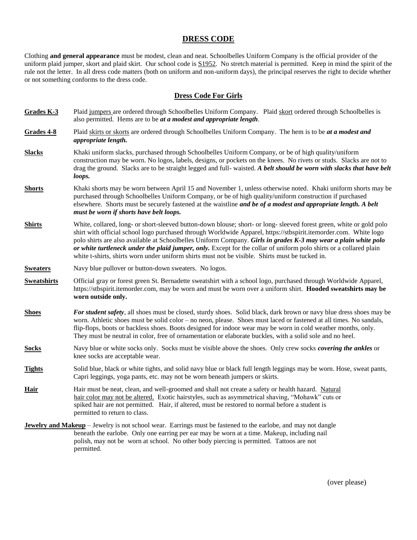## **DRESS CODE**

Clothing **and general appearance** must be modest, clean and neat. Schoolbelles Uniform Company is the official provider of the uniform plaid jumper, skort and plaid skirt. Our school code is  $\frac{S1952}{S2}$ . No stretch material is permitted. Keep in mind the spirit of the rule not the letter. In all dress code matters (both on uniform and non-uniform days), the principal reserves the right to decide whether or not something conforms to the dress code.

### **Dress Code For Girls**

- Grades K-3 Plaid jumpers are ordered through Schoolbelles Uniform Company. Plaid skort ordered through Schoolbelles is also permitted. Hems are to be *at a modest and appropriate length*.
- **Grades 4-8** Plaid skirts or skorts are ordered through Schoolbelles Uniform Company. The hem is to be *at a modest and appropriate length.*
- **Slacks** Khaki uniform slacks, purchased through Schoolbelles Uniform Company, or be of high quality/uniform construction may be worn. No logos, labels, designs, or pockets on the knees. No rivets or studs. Slacks are not to drag the ground. Slacks are to be straight legged and full- waisted. *A belt should be worn with slacks that have belt loops.*
- **Shorts** Khaki shorts may be worn between April 15 and November 1, unless otherwise noted. Khaki uniform shorts may be purchased through Schoolbelles Uniform Company, or be of high quality/uniform construction if purchased elsewhere. Shorts must be securely fastened at the waistline *and be of a modest and appropriate length. A belt must be worn if shorts have belt loops.*
- **Shirts** White, collared, long- or short-sleeved button-down blouse; short- or long- sleeved forest green, white or gold polo shirt with official school logo purchased through Worldwide Apparel, https://stbspirit.itemorder.com. White logo polo shirts are also available at Schoolbelles Uniform Company. *Girls in grades K-3 may wear a plain white polo or white turtleneck under the plaid jumper, only.* Except for the collar of uniform polo shirts or a collared plain white t-shirts, shirts worn under uniform shirts must not be visible. Shirts must be tucked in.
- **Sweaters** Navy blue pullover or button-down sweaters. No logos.
- **Sweatshirts** Official gray or forest green St. Bernadette sweatshirt with a school logo, purchased through Worldwide Apparel, https://stbspirit.itemorder.com, may be worn and must be worn over a uniform shirt. **Hooded sweatshirts may be worn outside only.**
- **Shoes** *For student safety,* all shoes must be closed, sturdy shoes. Solid black, dark brown or navy blue dress shoes may be worn. Athletic shoes must be solid color – no neon, please. Shoes must laced or fastened at all times. No sandals, flip-flops, boots or backless shoes. Boots designed for indoor wear may be worn in cold weather months, only. They must be neutral in color, free of ornamentation or elaborate buckles, with a solid sole and no heel.

**Socks** Navy blue or white socks only. Socks must be visible above the shoes. Only crew socks *covering the ankles* or knee socks are acceptable wear.

- **Tights** Solid blue, black or white tights, and solid navy blue or black full length leggings may be worn. Hose, sweat pants, Capri leggings, yoga pants, etc. may not be worn beneath jumpers or skirts.
- **Hair** Hair must be neat, clean, and well-groomed and shall not create a safety or health hazard. Natural Hazard Matural hair color may not be altered. Exotic hairstyles, such as asymmetrical shaving, "Mohawk" cuts or spiked hair are not permitted. Hair, if altered, must be restored to normal before a student is permitted to return to class.
- **Jewelry and Makeup** Jewelry is not school wear. Earrings must be fastened to the earlobe, and may not dangle beneath the earlobe. Only one earring per ear may be worn at a time. Makeup, including nail polish, may not be worn at school. No other body piercing is permitted. Tattoos are not permitted.

(over please)